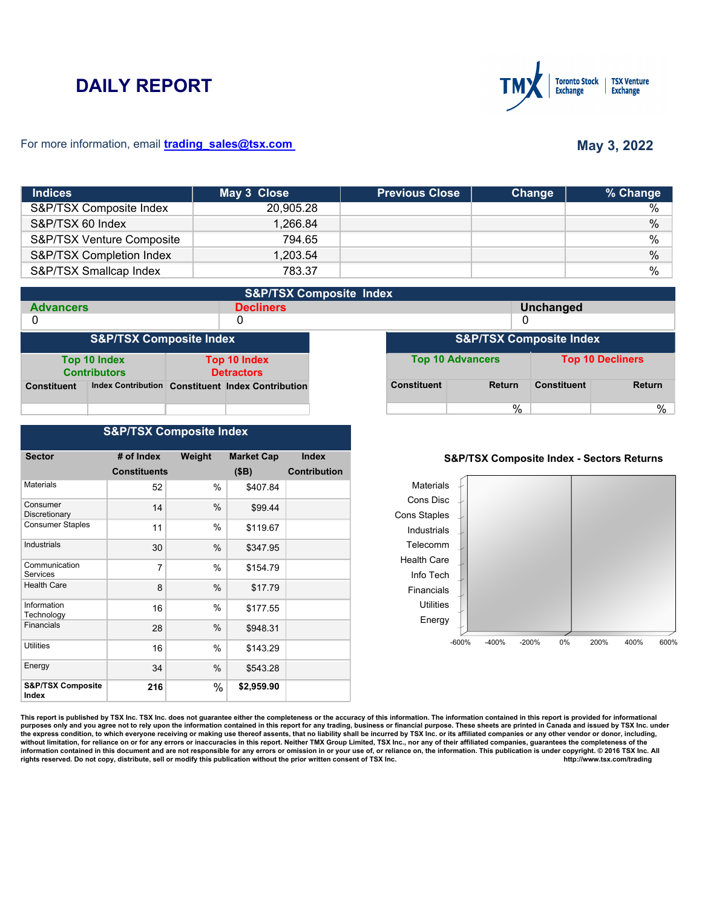# **DAILY REPORT**



### For more information, email **trading\_sales@tsx.com**

# **May 3, 2022**

| <b>Indices</b>            | May 3 Close | <b>Previous Close</b> | Change | % Change |
|---------------------------|-------------|-----------------------|--------|----------|
| S&P/TSX Composite Index   | 20,905.28   |                       |        | $\%$     |
| S&P/TSX 60 Index          | 1,266.84    |                       |        | $\%$     |
| S&P/TSX Venture Composite | 794.65      |                       |        | $\%$     |
| S&P/TSX Completion Index  | 1,203.54    |                       |        | $\%$     |
| S&P/TSX Smallcap Index    | 783.37      |                       |        | $\%$     |

| <b>S&amp;P/TSX Composite Index</b> |                                     |  |                                                   |  |                    |                                    |                    |                         |
|------------------------------------|-------------------------------------|--|---------------------------------------------------|--|--------------------|------------------------------------|--------------------|-------------------------|
| <b>Advancers</b>                   |                                     |  | <b>Decliners</b>                                  |  |                    |                                    | <b>Unchanged</b>   |                         |
| 0                                  |                                     |  | 0                                                 |  |                    | 0                                  |                    |                         |
|                                    | <b>S&amp;P/TSX Composite Index</b>  |  |                                                   |  |                    | <b>S&amp;P/TSX Composite Index</b> |                    |                         |
|                                    | Top 10 Index<br><b>Contributors</b> |  | <b>Top 10 Index</b><br><b>Detractors</b>          |  |                    | <b>Top 10 Advancers</b>            |                    | <b>Top 10 Decliners</b> |
| <b>Constituent</b>                 |                                     |  | Index Contribution Constituent Index Contribution |  | <b>Constituent</b> | <b>Return</b>                      | <b>Constituent</b> | <b>Return</b>           |
|                                    |                                     |  |                                                   |  |                    | $\%$                               |                    | %                       |

## **S&P/TSX Composite Index**

| <b>Sector</b>                         | # of Index          | Weight | <b>Market Cap</b> | <b>Index</b>        |
|---------------------------------------|---------------------|--------|-------------------|---------------------|
|                                       | <b>Constituents</b> |        | (SB)              | <b>Contribution</b> |
| <b>Materials</b>                      | 52                  | %      | \$407.84          |                     |
| Consumer<br>Discretionary             | 14                  | %      | \$99.44           |                     |
| <b>Consumer Staples</b>               | 11                  | $\%$   | \$119.67          |                     |
| Industrials                           | 30                  | %      | \$347.95          |                     |
| Communication<br>Services             | 7                   | %      | \$154.79          |                     |
| <b>Health Care</b>                    | 8                   | %      | \$17.79           |                     |
| Information<br>Technology             | 16                  | $\%$   | \$177.55          |                     |
| <b>Financials</b>                     | 28                  | $\%$   | \$948.31          |                     |
| Utilities                             | 16                  | %      | \$143.29          |                     |
| Energy                                | 34                  | %      | \$543.28          |                     |
| <b>S&amp;P/TSX Composite</b><br>Index | 216                 | $\%$   | \$2,959.90        |                     |

#### **S&P/TSX Composite Index - Sectors Returns**



This report is published by TSX Inc. TSX Inc. does not guarantee either the completeness or the accuracy of this information. The information contained in this report is provided for informational **purposes only and you agree not to rely upon the information contained in this report for any trading, business or financial purpose. These sheets are printed in Canada and issued by TSX Inc. under**  the express condition, to which everyone receiving or making use thereof assents, that no liability shall be incurred by TSX Inc. or its affiliated companies or any other vendor or donor, including,<br>without limitation, for information contained in this document and are not responsible for any errors or omission in or your use of, or reliance on, the information. This publication is under copyright. © 2016 TSX Inc. All <br>
rights reserved. Do n rights reserved. Do not copy, distribute, sell or modify this publication without the prior written consent of TSX Inc.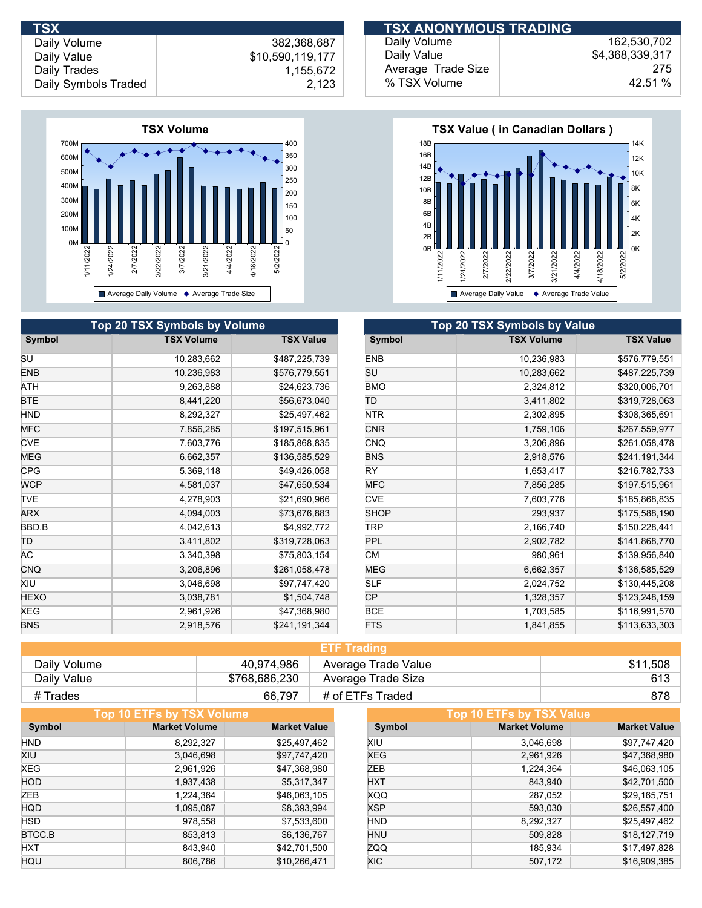

| TSX                  |                  | <b>TSX ANONYMOUS TRADING</b> |                 |
|----------------------|------------------|------------------------------|-----------------|
| Daily Volume         | 382.368.687      | Daily Volume                 | 162.530.702     |
| Daily Value          | \$10,590,119,177 | Daily Value                  | \$4,368,339,317 |
| Daily Trades         | 1.155.672        | Average Trade Size           | 275             |
| Daily Symbols Traded | 2,123            | % TSX Volume                 | 42.51%          |



|            | <b>Top 20 TSX Symbols by Volume</b> |                  |             | Top 20 TSX Symbols by Value |                  |
|------------|-------------------------------------|------------------|-------------|-----------------------------|------------------|
| Symbol     | <b>TSX Volume</b>                   | <b>TSX Value</b> | Symbol      | <b>TSX Volume</b>           | <b>TSX Value</b> |
| SU         | 10,283,662                          | \$487,225,739    | <b>ENB</b>  | 10,236,983                  | \$576,779,551    |
| ENB        | 10,236,983                          | \$576,779,551    | SU          | 10,283,662                  | \$487,225,739    |
| ATH        | 9,263,888                           | \$24,623,736     | <b>BMO</b>  | 2,324,812                   | \$320,006,701    |
| BTE        | 8,441,220                           | \$56,673,040     | TD          | 3,411,802                   | \$319,728,063    |
| HND        | 8,292,327                           | \$25,497,462     | <b>NTR</b>  | 2,302,895                   | \$308,365,691    |
| <b>MFC</b> | 7,856,285                           | \$197,515,961    | <b>CNR</b>  | 1,759,106                   | \$267,559,977    |
| <b>CVE</b> | 7,603,776                           | \$185,868,835    | <b>CNQ</b>  | 3,206,896                   | \$261,058,478    |
| MEG        | 6,662,357                           | \$136,585,529    | <b>BNS</b>  | 2,918,576                   | \$241,191,344    |
| CPG        | 5,369,118                           | \$49,426,058     | <b>RY</b>   | 1,653,417                   | \$216,782,733    |
| <b>WCP</b> | 4,581,037                           | \$47,650,534     | <b>MFC</b>  | 7,856,285                   | \$197,515,961    |
| TVE        | 4,278,903                           | \$21,690,966     | <b>CVE</b>  | 7,603,776                   | \$185,868,835    |
| <b>ARX</b> | 4,094,003                           | \$73,676,883     | <b>SHOP</b> | 293,937                     | \$175,588,190    |
| BBD.B      | 4,042,613                           | \$4,992,772      | TRP         | 2,166,740                   | \$150,228,441    |
| ΤD         | 3,411,802                           | \$319,728,063    | <b>PPL</b>  | 2,902,782                   | \$141,868,770    |
| АC         | 3,340,398                           | \$75,803,154     | <b>CM</b>   | 980,961                     | \$139,956,840    |
| <b>CNQ</b> | 3,206,896                           | \$261,058,478    | <b>MEG</b>  | 6,662,357                   | \$136,585,529    |
| Xiu        | 3,046,698                           | \$97,747,420     | <b>SLF</b>  | 2,024,752                   | \$130,445,208    |
| HEXO       | 3,038,781                           | \$1,504,748      | <b>CP</b>   | 1,328,357                   | \$123,248,159    |
| XEG        | 2,961,926                           | \$47,368,980     | <b>BCE</b>  | 1,703,585                   | \$116,991,570    |
| <b>BNS</b> | 2,918,576                           | \$241,191,344    | <b>FTS</b>  | 1,841,855                   | \$113,633,303    |
|            |                                     |                  |             |                             |                  |

| <b>ETF Trading</b> |               |                     |          |  |
|--------------------|---------------|---------------------|----------|--|
| Daily Volume       | 40,974,986    | Average Trade Value | \$11,508 |  |
| Daily Value        | \$768,686,230 | Average Trade Size  | 613      |  |
| # Trades           | 66.797        | # of ETFs Traded    | 878      |  |

|            | <b>Top 10 ETFs by TSX Volume</b> |                     |            | Top 10 ETFs by TSX Value |                     |
|------------|----------------------------------|---------------------|------------|--------------------------|---------------------|
| Symbol     | <b>Market Volume</b>             | <b>Market Value</b> | Symbol     | <b>Market Volume</b>     | <b>Market Value</b> |
| <b>HND</b> | 8,292,327                        | \$25,497,462        | XIU        | 3,046,698                | \$97,747,420        |
| XIU        | 3,046,698                        | \$97,747,420        | XEG        | 2,961,926                | \$47,368,980        |
| XEG        | 2,961,926                        | \$47,368,980        | ZEB        | 1,224,364                | \$46,063,105        |
| <b>HOD</b> | 1,937,438                        | \$5,317,347         | <b>HXT</b> | 843,940                  | \$42,701,500        |
| ZEB        | 1,224,364                        | \$46,063,105        | <b>XQQ</b> | 287,052                  | \$29,165,751        |
| <b>HQD</b> | 1,095,087                        | \$8,393,994         | <b>XSP</b> | 593,030                  | \$26,557,400        |
| <b>HSD</b> | 978,558                          | \$7,533,600         | <b>HND</b> | 8,292,327                | \$25,497,462        |
| BTCC.B     | 853,813                          | \$6,136,767         | <b>HNU</b> | 509,828                  | \$18,127,719        |
| <b>HXT</b> | 843.940                          | \$42,701,500        | <b>ZQQ</b> | 185.934                  | \$17,497,828        |
| HQU        | 806,786                          | \$10,266,471        | <b>XIC</b> | 507,172                  | \$16,909,385        |